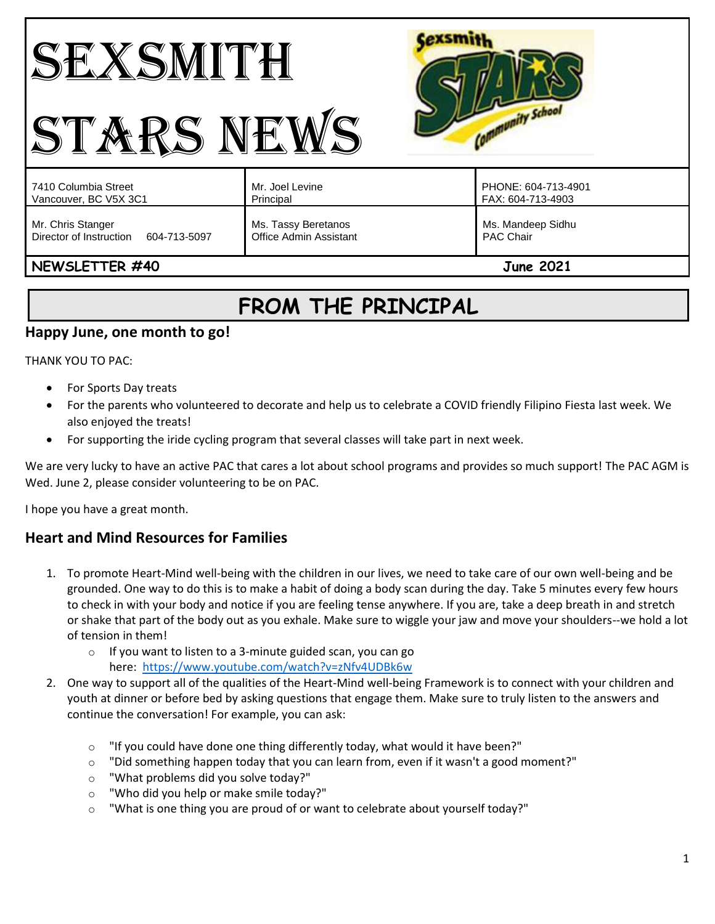# SEXSMITH STARS NEWS



| 7410 Columbia Street                                         | Mr. Joel Levine                                      | PHONE: 604-713-4901                   |
|--------------------------------------------------------------|------------------------------------------------------|---------------------------------------|
| Vancouver, BC V5X 3C1                                        | Principal                                            | FAX: 604-713-4903                     |
| Mr. Chris Stanger<br>Director of Instruction<br>604-713-5097 | Ms. Tassy Beretanos<br><b>Office Admin Assistant</b> | Ms. Mandeep Sidhu<br><b>PAC Chair</b> |

# **NEWSLETTER #40 June 2021**

# **FROM THE PRINCIPAL**

# **Happy June, one month to go!**

THANK YOU TO PAC:

- For Sports Day treats
- For the parents who volunteered to decorate and help us to celebrate a COVID friendly Filipino Fiesta last week. We also enjoyed the treats!
- For supporting the iride cycling program that several classes will take part in next week.

We are very lucky to have an active PAC that cares a lot about school programs and provides so much support! The PAC AGM is Wed. June 2, please consider volunteering to be on PAC.

I hope you have a great month.

# **Heart and Mind Resources for Families**

- 1. To promote Heart-Mind well-being with the children in our lives, we need to take care of our own well-being and be grounded. One way to do this is to make a habit of doing a body scan during the day. Take 5 minutes every few hours to check in with your body and notice if you are feeling tense anywhere. If you are, take a deep breath in and stretch or shake that part of the body out as you exhale. Make sure to wiggle your jaw and move your shoulders--we hold a lot of tension in them!
	- o If you want to listen to a 3-minute guided scan, you can go here: <https://www.youtube.com/watch?v=zNfv4UDBk6w>
- 2. One way to support all of the qualities of the Heart-Mind well-being Framework is to connect with your children and youth at dinner or before bed by asking questions that engage them. Make sure to truly listen to the answers and continue the conversation! For example, you can ask:
	- $\circ$  "If you could have done one thing differently today, what would it have been?"
	- $\circ$  "Did something happen today that you can learn from, even if it wasn't a good moment?"
	- o "What problems did you solve today?"
	- o "Who did you help or make smile today?"
	- $\circ$  "What is one thing you are proud of or want to celebrate about yourself today?"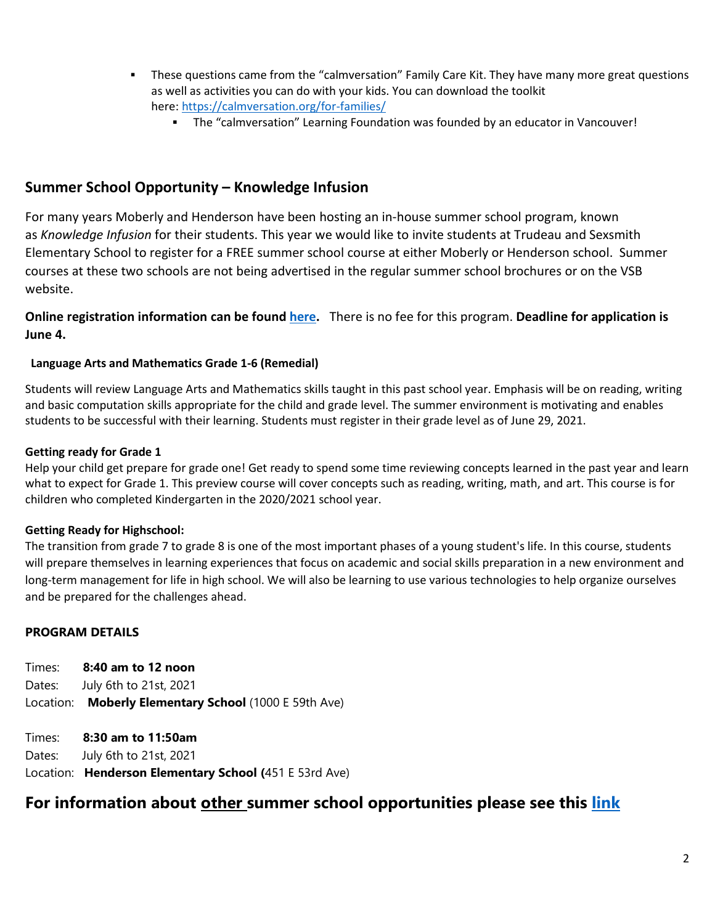- **•** These questions came from the "calmversation" Family Care Kit. They have many more great questions as well as activities you can do with your kids. You can download the toolkit here: <https://calmversation.org/for-families/>
	- **The "calmversation" Learning Foundation was founded by an educator in Vancouver!**

#### **Summer School Opportunity – Knowledge Infusion**

For many years Moberly and Henderson have been hosting an in-house summer school program, known as *Knowledge Infusion* for their students. This year we would like to invite students at Trudeau and Sexsmith Elementary School to register for a FREE summer school course at either Moberly or Henderson school. Summer courses at these two schools are not being advertised in the regular summer school brochures or on the VSB website.

**Online registration information can be found [here.](https://forms.office.com/Pages/ResponsePage.aspx?id=WC6KCzB7CEq6t9dVWeDjpb5HOQoRVdJKuowcSHl6uhtUOEg1NDNPQzlSWk9WV0o0WkE5MzA3R0xGRC4u)** There is no fee for this program. **Deadline for application is June 4.**

#### **Language Arts and Mathematics Grade 1-6 (Remedial)**

Students will review Language Arts and Mathematics skills taught in this past school year. Emphasis will be on reading, writing and basic computation skills appropriate for the child and grade level. The summer environment is motivating and enables students to be successful with their learning. Students must register in their grade level as of June 29, 2021.

#### **Getting ready for Grade 1**

Help your child get prepare for grade one! Get ready to spend some time reviewing concepts learned in the past year and learn what to expect for Grade 1. This preview course will cover concepts such as reading, writing, math, and art. This course is for children who completed Kindergarten in the 2020/2021 school year.

#### **Getting Ready for Highschool:**

The transition from grade 7 to grade 8 is one of the most important phases of a young student's life. In this course, students will prepare themselves in learning experiences that focus on academic and social skills preparation in a new environment and long-term management for life in high school. We will also be learning to use various technologies to help organize ourselves and be prepared for the challenges ahead.

#### **PROGRAM DETAILS**

Times: **8:40 am to 12 noon** Dates: July 6th to 21st, 2021 Location: **Moberly Elementary School** (1000 E 59th Ave)

Times: **8:30 am to 11:50am** Dates: July 6th to 21st, 2021 Location: **Henderson Elementary School (**451 E 53rd Ave)

# **For information about other summer school opportunities please see this [link](https://www.vsb.bc.ca/Student_Learning/Summer_Sessions/Pages/default.aspx)**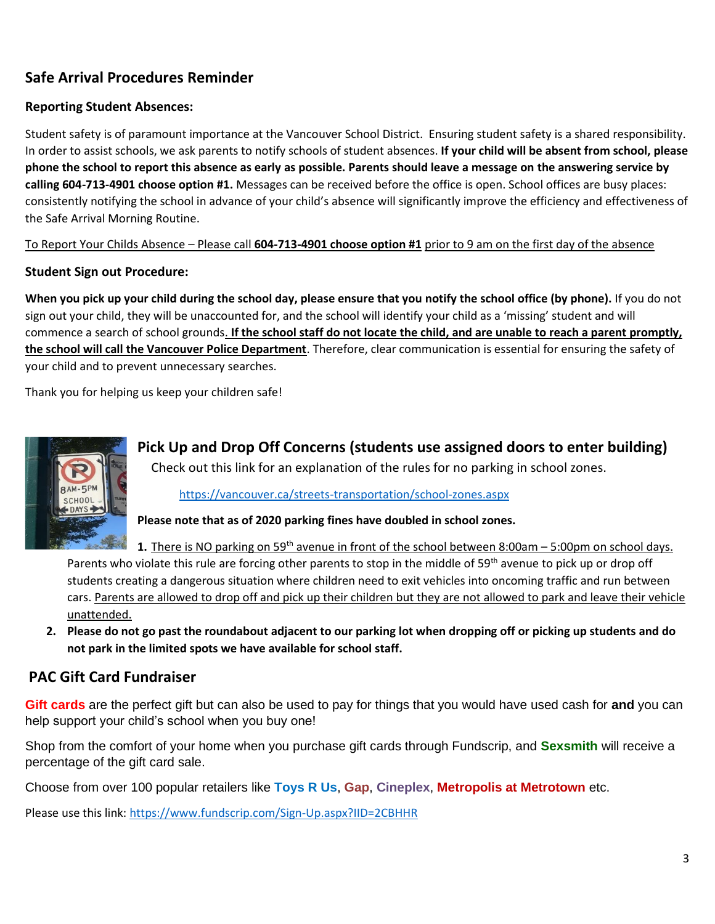# **Safe Arrival Procedures Reminder**

#### **Reporting Student Absences:**

Student safety is of paramount importance at the Vancouver School District. Ensuring student safety is a shared responsibility. In order to assist schools, we ask parents to notify schools of student absences. **If your child will be absent from school, please phone the school to report this absence as early as possible. Parents should leave a message on the answering service by calling 604-713-4901 choose option #1.** Messages can be received before the office is open. School offices are busy places: consistently notifying the school in advance of your child's absence will significantly improve the efficiency and effectiveness of the Safe Arrival Morning Routine.

To Report Your Childs Absence – Please call **604-713-4901 choose option #1** prior to 9 am on the first day of the absence

#### **Student Sign out Procedure:**

**When you pick up your child during the school day, please ensure that you notify the school office (by phone).** If you do not sign out your child, they will be unaccounted for, and the school will identify your child as a 'missing' student and will commence a search of school grounds. **If the school staff do not locate the child, and are unable to reach a parent promptly, the school will call the Vancouver Police Department**. Therefore, clear communication is essential for ensuring the safety of your child and to prevent unnecessary searches.

Thank you for helping us keep your children safe!



**Pick Up and Drop Off Concerns (students use assigned doors to enter building)** Check out this link for an explanation of the rules for no parking in school zones.

<https://vancouver.ca/streets-transportation/school-zones.aspx>

**Please note that as of 2020 parking fines have doubled in school zones.** 

**1.** There is NO parking on 59<sup>th</sup> avenue in front of the school between 8:00am – 5:00pm on school days. Parents who violate this rule are forcing other parents to stop in the middle of 59<sup>th</sup> avenue to pick up or drop off students creating a dangerous situation where children need to exit vehicles into oncoming traffic and run between cars. Parents are allowed to drop off and pick up their children but they are not allowed to park and leave their vehicle unattended.

**2. Please do not go past the roundabout adjacent to our parking lot when dropping off or picking up students and do not park in the limited spots we have available for school staff.** 

# **PAC Gift Card Fundraiser**

**Gift cards** are the perfect gift but can also be used to pay for things that you would have used cash for **and** you can help support your child's school when you buy one!

Shop from the comfort of your home when you purchase gift cards through Fundscrip, and **Sexsmith** will receive a percentage of the gift card sale.

Choose from over 100 popular retailers like **Toys R Us**, **Gap**, **Cineplex**, **Metropolis at Metrotown** etc.

Please use this link:<https://www.fundscrip.com/Sign-Up.aspx?IID=2CBHHR>